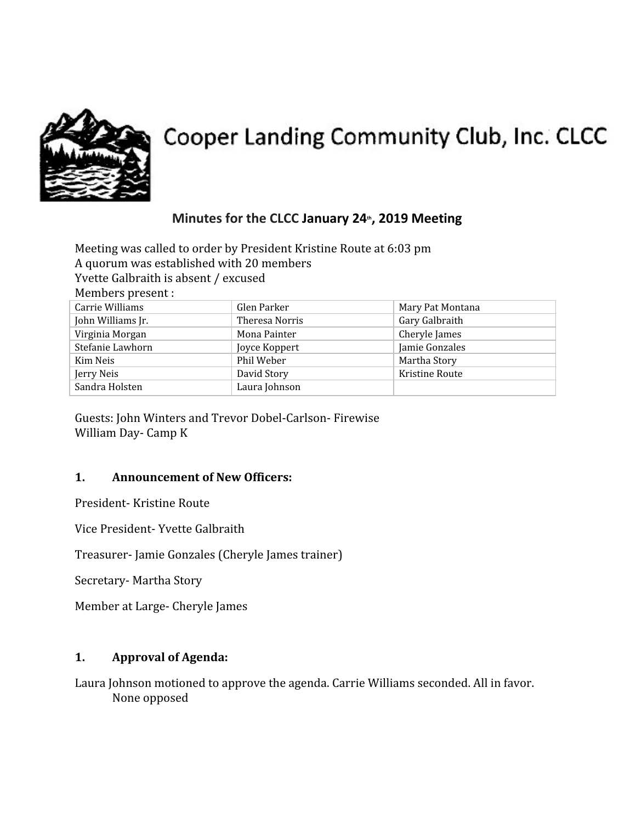

# Cooper Landing Community Club, Inc. CLCC

# **Minutes for the CLCC January 24th, 2019 Meeting**

Meeting was called to order by President Kristine Route at 6:03 pm A quorum was established with 20 members Yvette Galbraith is absent / excused Members present :

| Carrie Williams   | Glen Parker    | Mary Pat Montana |
|-------------------|----------------|------------------|
| John Williams Jr. | Theresa Norris | Gary Galbraith   |
| Virginia Morgan   | Mona Painter   | Cheryle James    |
| Stefanie Lawhorn  | Joyce Koppert  | Jamie Gonzales   |
| Kim Neis          | Phil Weber     | Martha Story     |
| Jerry Neis        | David Story    | Kristine Route   |
| Sandra Holsten    | Laura Johnson  |                  |

Guests: John Winters and Trevor Dobel-Carlson- Firewise William Day- Camp K

#### **1. Announcement of New Officers:**

President- Kristine Route

Vice President- Yvette Galbraith

Treasurer- Jamie Gonzales (Cheryle James trainer)

Secretary- Martha Story

Member at Large- Cheryle James

#### **1. Approval of Agenda:**

Laura Johnson motioned to approve the agenda. Carrie Williams seconded. All in favor. None opposed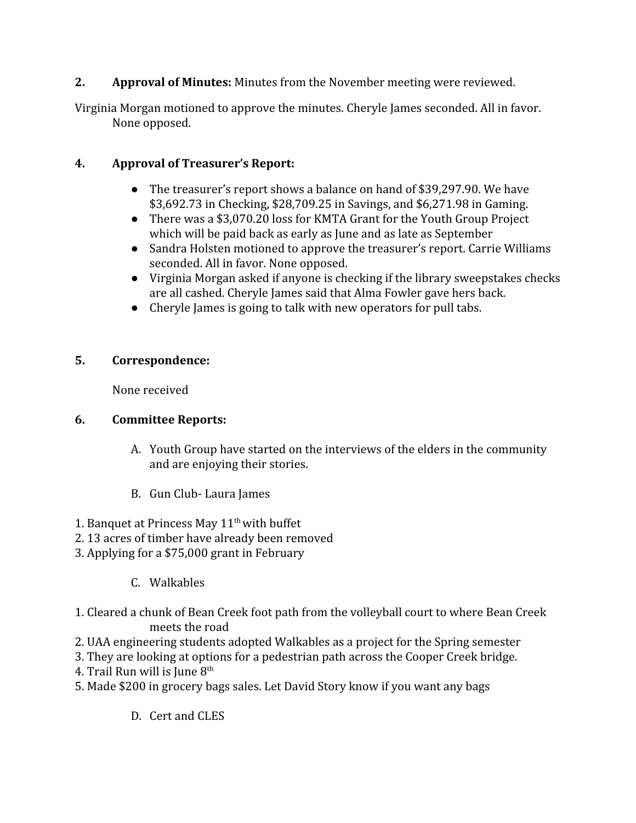### **2. Approval of Minutes:** Minutes from the November meeting were reviewed.

Virginia Morgan motioned to approve the minutes. Cheryle James seconded. All in favor. None opposed.

## **4. Approval of Treasurer's Report:**

- The treasurer's report shows a balance on hand of \$39,297.90. We have \$3,692.73 in Checking, \$28,709.25 in Savings, and \$6,271.98 in Gaming.
- There was a \$3,070.20 loss for KMTA Grant for the Youth Group Project which will be paid back as early as June and as late as September
- Sandra Holsten motioned to approve the treasurer's report. Carrie Williams seconded. All in favor. None opposed.
- Virginia Morgan asked if anyone is checking if the library sweepstakes checks are all cashed. Cheryle James said that Alma Fowler gave hers back.
- Cheryle James is going to talk with new operators for pull tabs.

#### **5. Correspondence:**

None received

#### **6. Committee Reports:**

- A. Youth Group have started on the interviews of the elders in the community and are enjoying their stories.
- B. Gun Club- Laura James
- 1. Banquet at Princess May  $11<sup>th</sup>$  with buffet
- 2. 13 acres of timber have already been removed
- 3. Applying for a \$75,000 grant in February
	- C. Walkables
- 1. Cleared a chunk of Bean Creek foot path from the volleyball court to where Bean Creek meets the road
- 2. UAA engineering students adopted Walkables as a project for the Spring semester
- 3. They are looking at options for a pedestrian path across the Cooper Creek bridge.
- 4. Trail Run will is June  $8<sup>th</sup>$
- 5. Made \$200 in grocery bags sales. Let David Story know if you want any bags
	- D. Cert and CLES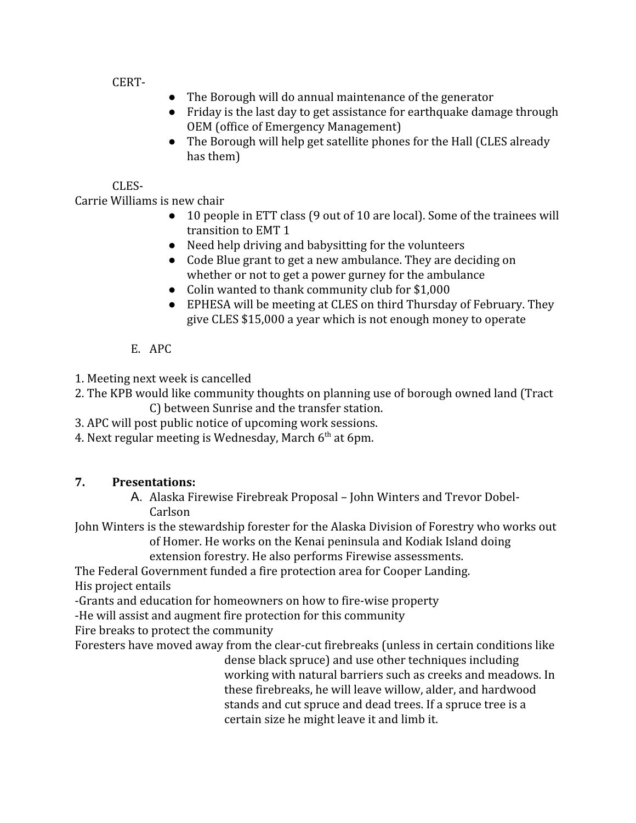CERT-

- The Borough will do annual maintenance of the generator
- Friday is the last day to get assistance for earthquake damage through OEM (office of Emergency Management)
- The Borough will help get satellite phones for the Hall (CLES already has them)

### CLES-

Carrie Williams is new chair

- 10 people in ETT class (9 out of 10 are local). Some of the trainees will transition to EMT 1
- Need help driving and babysitting for the volunteers
- Code Blue grant to get a new ambulance. They are deciding on whether or not to get a power gurney for the ambulance
- Colin wanted to thank community club for \$1,000
- EPHESA will be meeting at CLES on third Thursday of February. They give CLES \$15,000 a year which is not enough money to operate
- E. APC
- 1. Meeting next week is cancelled
- 2. The KPB would like community thoughts on planning use of borough owned land (Tract C) between Sunrise and the transfer station.
- 3. APC will post public notice of upcoming work sessions.
- 4. Next regular meeting is Wednesday, March  $6^{\text{th}}$  at 6pm.

# **7. Presentations:**

A. Alaska Firewise Firebreak Proposal – John Winters and Trevor Dobel-Carlson

John Winters is the stewardship forester for the Alaska Division of Forestry who works out of Homer. He works on the Kenai peninsula and Kodiak Island doing

extension forestry. He also performs Firewise assessments.

The Federal Government funded a fire protection area for Cooper Landing.

His project entails

-Grants and education for homeowners on how to fire-wise property

-He will assist and augment fire protection for this community

Fire breaks to protect the community

Foresters have moved away from the clear-cut firebreaks (unless in certain conditions like dense black spruce) and use other techniques including

working with natural barriers such as creeks and meadows. In these firebreaks, he will leave willow, alder, and hardwood stands and cut spruce and dead trees. If a spruce tree is a certain size he might leave it and limb it.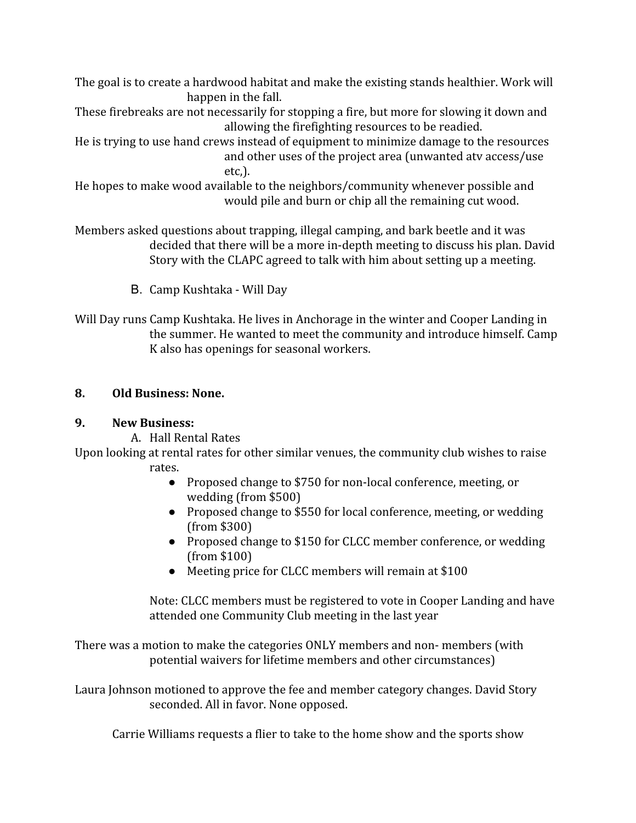The goal is to create a hardwood habitat and make the existing stands healthier. Work will happen in the fall.

These firebreaks are not necessarily for stopping a fire, but more for slowing it down and allowing the firefighting resources to be readied.

He is trying to use hand crews instead of equipment to minimize damage to the resources and other uses of the project area (unwanted atv access/use etc,).

He hopes to make wood available to the neighbors/community whenever possible and would pile and burn or chip all the remaining cut wood.

Members asked questions about trapping, illegal camping, and bark beetle and it was decided that there will be a more in-depth meeting to discuss his plan. David Story with the CLAPC agreed to talk with him about setting up a meeting.

B. Camp Kushtaka - Will Day

Will Day runs Camp Kushtaka. He lives in Anchorage in the winter and Cooper Landing in the summer. He wanted to meet the community and introduce himself. Camp K also has openings for seasonal workers.

#### **8. Old Business: None.**

#### **9. New Business:**

A. Hall Rental Rates

Upon looking at rental rates for other similar venues, the community club wishes to raise rates.

- Proposed change to \$750 for non-local conference, meeting, or wedding (from \$500)
- Proposed change to \$550 for local conference, meeting, or wedding (from \$300)
- Proposed change to \$150 for CLCC member conference, or wedding (from \$100)
- Meeting price for CLCC members will remain at \$100

Note: CLCC members must be registered to vote in Cooper Landing and have attended one Community Club meeting in the last year

There was a motion to make the categories ONLY members and non- members (with potential waivers for lifetime members and other circumstances)

Laura Johnson motioned to approve the fee and member category changes. David Story seconded. All in favor. None opposed.

Carrie Williams requests a flier to take to the home show and the sports show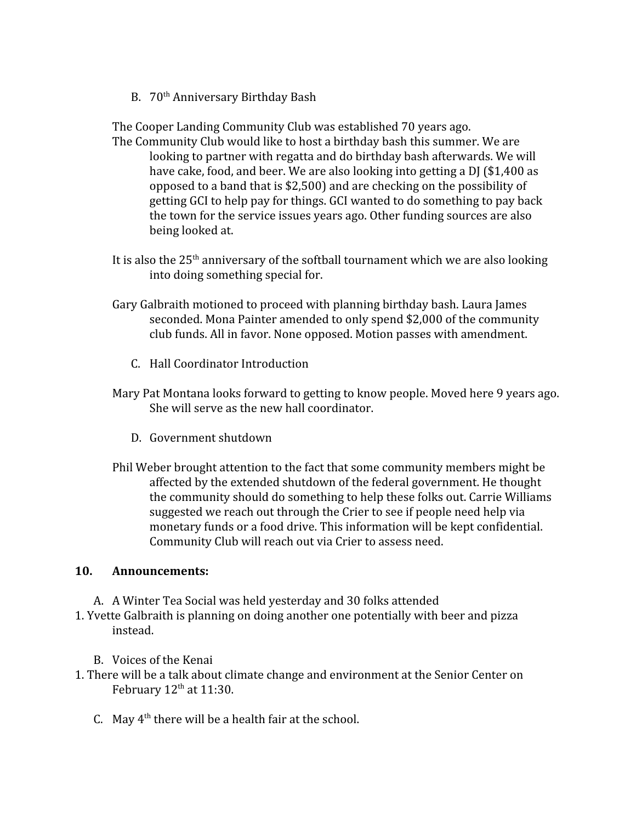B. 70<sup>th</sup> Anniversary Birthday Bash

The Cooper Landing Community Club was established 70 years ago.

- The Community Club would like to host a birthday bash this summer. We are looking to partner with regatta and do birthday bash afterwards. We will have cake, food, and beer. We are also looking into getting a DJ (\$1,400 as opposed to a band that is \$2,500) and are checking on the possibility of getting GCI to help pay for things. GCI wanted to do something to pay back the town for the service issues years ago. Other funding sources are also being looked at.
- It is also the  $25<sup>th</sup>$  anniversary of the softball tournament which we are also looking into doing something special for.
- Gary Galbraith motioned to proceed with planning birthday bash. Laura James seconded. Mona Painter amended to only spend \$2,000 of the community club funds. All in favor. None opposed. Motion passes with amendment.
	- C. Hall Coordinator Introduction
- Mary Pat Montana looks forward to getting to know people. Moved here 9 years ago. She will serve as the new hall coordinator.
	- D. Government shutdown
- Phil Weber brought attention to the fact that some community members might be affected by the extended shutdown of the federal government. He thought the community should do something to help these folks out. Carrie Williams suggested we reach out through the Crier to see if people need help via monetary funds or a food drive. This information will be kept confidential. Community Club will reach out via Crier to assess need.

#### **10. Announcements:**

- A. A Winter Tea Social was held yesterday and 30 folks attended
- 1. Yvette Galbraith is planning on doing another one potentially with beer and pizza instead.
	- B. Voices of the Kenai
- 1. There will be a talk about climate change and environment at the Senior Center on February  $12<sup>th</sup>$  at  $11:30$ .
	- C. May  $4<sup>th</sup>$  there will be a health fair at the school.